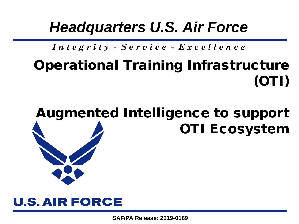# *Headquarters U.S. Air Force*

# *I n t e g r i t y - S e r v i c e - E x c e l l e n c e*

# Operational Training Infrastructure (OTI)

# Augmented Intelligence to support OTI Ecosystem

### **U.S. AIR FORCE**

**SAF/PA Release: 2019-0189**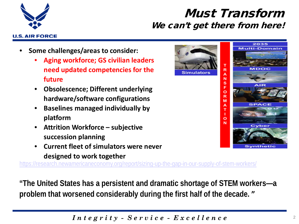

#### Must Transform We can't get there from here!

**Simulators** 

- **Some challenges/areas to consider:**
	- **Aging workforce; GS civilian leaders need updated competencies for the future**
	- **Obsolescence; Different underlying hardware/software configurations**
	- **Baselines managed individually by platform**
	- **Attrition Workforce – subjective succession planning**
	- **Current fleet of simulators were never designed to work together**

<https://research.newamericaneconomy.org/report/sizing-up-the-gap-in-our-supply-of-stem-workers/>

**"The United States has a persistent and dramatic shortage of STEM workers—a problem that worsened considerably during the first half of the decade. "**



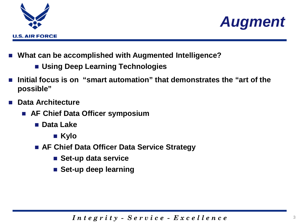



- **What can be accomplished with Augmented Intelligence?**
	- **Using Deep Learning Technologies**
- **Initial focus is on "smart automation" that demonstrates the "art of the possible"**
- **Data Architecture** 
	- **AF Chief Data Officer symposium** 
		- **Data Lake**
			- Kylo
		- **AF Chief Data Officer Data Service Strategy**
			- Set-up data service
			- **Set-up deep learning**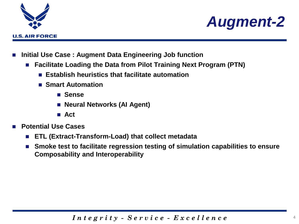



- **Initial Use Case : Augment Data Engineering Job function**
	- **Facilitate Loading the Data from Pilot Training Next Program (PTN)**
		- **Establish heuristics that facilitate automation**
		- Smart Automation
			- **Sense**
			- **Neural Networks (AI Agent)**
			- **Act**
- **Potential Use Cases**
	- **ETL (Extract-Transform-Load) that collect metadata**
	- Smoke test to facilitate regression testing of simulation capabilities to ensure **Composability and Interoperability**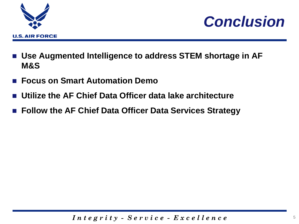



- Use Augmented Intelligence to address STEM shortage in AF **M&S**
- **Focus on Smart Automation Demo**
- **Utilize the AF Chief Data Officer data lake architecture**
- **Follow the AF Chief Data Officer Data Services Strategy**